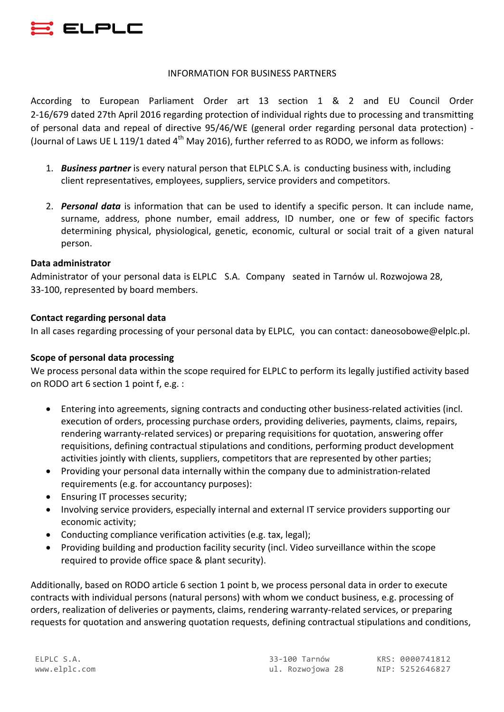

### INFORMATION FOR BUSINESS PARTNERS

According to European Parliament Order art 13 section 1 & 2 and EU Council Order 2-16/679 dated 27th April 2016 regarding protection of individual rights due to processing and transmitting of personal data and repeal of directive 95/46/WE (general order regarding personal data protection) -(Journal of Laws UE L 119/1 dated  $4<sup>th</sup>$  May 2016), further referred to as RODO, we inform as follows:

- 1. **Business partner** is every natural person that ELPLC S.A. is conducting business with, including client representatives, employees, suppliers, service providers and competitors.
- 2. **Personal data** is information that can be used to identify a specific person. It can include name, surname, address, phone number, email address, ID number, one or few of specific factors determining physical, physiological, genetic, economic, cultural or social trait of a given natural person.

## **Data administrator**

Administrator of your personal data is ELPLC S.A. Company seated in Tarnów ul. Rozwojowa 28, 33-100, represented by board members.

## **Contact regarding personal data**

In all cases regarding processing of your personal data by ELPLC, you can contact: daneosobowe@elplc.pl.

# **Scope of personal data processing**

We process personal data within the scope required for ELPLC to perform its legally justified activity based on RODO art 6 section 1 point f, e.g. :

- Entering into agreements, signing contracts and conducting other business-related activities (incl. execution of orders, processing purchase orders, providing deliveries, payments, claims, repairs, rendering warranty-related services) or preparing requisitions for quotation, answering offer requisitions, defining contractual stipulations and conditions, performing product development activities jointly with clients, suppliers, competitors that are represented by other parties;
- Providing your personal data internally within the company due to administration-related requirements (e.g. for accountancy purposes):
- Ensuring IT processes security;
- Involving service providers, especially internal and external IT service providers supporting our economic activity;
- Conducting compliance verification activities (e.g. tax, legal);
- Providing building and production facility security (incl. Video surveillance within the scope required to provide office space & plant security).

Additionally, based on RODO article 6 section 1 point b, we process personal data in order to execute contracts with individual persons (natural persons) with whom we conduct business, e.g. processing of orders, realization of deliveries or payments, claims, rendering warranty-related services, or preparing requests for quotation and answering quotation requests, defining contractual stipulations and conditions,